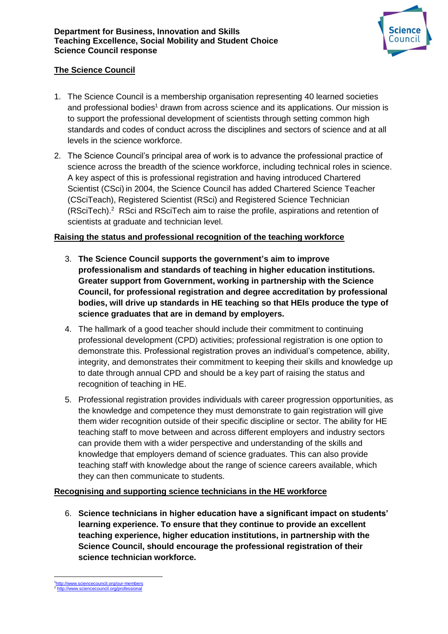

## **The Science Council**

- 1. The Science Council is a membership organisation representing 40 learned societies and professional bodies<sup>1</sup> drawn from across science and its applications. Our mission is to support the professional development of scientists through setting common high standards and codes of conduct across the disciplines and sectors of science and at all levels in the science workforce.
- 2. The Science Council's principal area of work is to advance the professional practice of science across the breadth of the science workforce, including technical roles in science. A key aspect of this is professional registration and having introduced Chartered Scientist (CSci) in 2004, the Science Council has added Chartered Science Teacher (CSciTeach), Registered Scientist (RSci) and Registered Science Technician (RSciTech).<sup>2</sup> RSci and RSciTech aim to raise the profile, aspirations and retention of scientists at graduate and technician level.

### **Raising the status and professional recognition of the teaching workforce**

- 3. **The Science Council supports the government's aim to improve professionalism and standards of teaching in higher education institutions. Greater support from Government, working in partnership with the Science Council, for professional registration and degree accreditation by professional bodies, will drive up standards in HE teaching so that HEIs produce the type of science graduates that are in demand by employers.**
- 4. The hallmark of a good teacher should include their commitment to continuing professional development (CPD) activities; professional registration is one option to demonstrate this. Professional registration proves an individual's competence, ability, integrity, and demonstrates their commitment to keeping their skills and knowledge up to date through annual CPD and should be a key part of raising the status and recognition of teaching in HE.
- 5. Professional registration provides individuals with career progression opportunities, as the knowledge and competence they must demonstrate to gain registration will give them wider recognition outside of their specific discipline or sector. The ability for HE teaching staff to move between and across different employers and industry sectors can provide them with a wider perspective and understanding of the skills and knowledge that employers demand of science graduates. This can also provide teaching staff with knowledge about the range of science careers available, which they can then communicate to students.

### **Recognising and supporting science technicians in the HE workforce**

6. **Science technicians in higher education have a significant impact on students' learning experience. To ensure that they continue to provide an excellent teaching experience, higher education institutions, in partnership with the Science Council, should encourage the professional registration of their science technician workforce.** 

1

<sup>1</sup> <http://www.sciencecouncil.org/our-members> 2 <http://www.sciencecouncil.org/professional>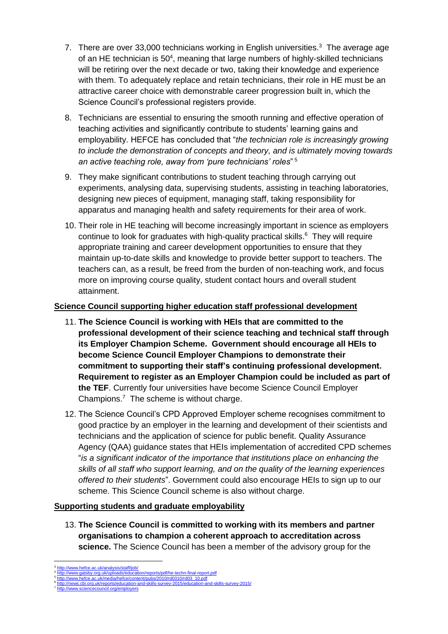- 7. There are over 33,000 technicians working in English universities.<sup>3</sup> The average age of an HE technician is 50<sup>4</sup>, meaning that large numbers of highly-skilled technicians will be retiring over the next decade or two, taking their knowledge and experience with them. To adequately replace and retain technicians, their role in HE must be an attractive career choice with demonstrable career progression built in, which the Science Council's professional registers provide.
- 8. Technicians are essential to ensuring the smooth running and effective operation of teaching activities and significantly contribute to students' learning gains and employability. HEFCE has concluded that "*the technician role is increasingly growing to include the demonstration of concepts and theory, and is ultimately moving towards an active teaching role, away from 'pure technicians' roles*" 5
- 9. They make significant contributions to student teaching through carrying out experiments, analysing data, supervising students, assisting in teaching laboratories, designing new pieces of equipment, managing staff, taking responsibility for apparatus and managing health and safety requirements for their area of work.
- 10. Their role in HE teaching will become increasingly important in science as employers continue to look for graduates with high-quality practical skills. 6 They will require appropriate training and career development opportunities to ensure that they maintain up-to-date skills and knowledge to provide better support to teachers. The teachers can, as a result, be freed from the burden of non-teaching work, and focus more on improving course quality, student contact hours and overall student attainment.

# **Science Council supporting higher education staff professional development**

- 11. **The Science Council is working with HEIs that are committed to the professional development of their science teaching and technical staff through its Employer Champion Scheme. Government should encourage all HEIs to become Science Council Employer Champions to demonstrate their commitment to supporting their staff's continuing professional development. Requirement to register as an Employer Champion could be included as part of the TEF**. Currently four universities have become Science Council Employer Champions. $<sup>7</sup>$  The scheme is without charge.</sup>
- 12. The Science Council's CPD Approved Employer scheme recognises commitment to good practice by an employer in the learning and development of their scientists and technicians and the application of science for public benefit. Quality Assurance Agency (QAA) guidance states that HEIs implementation of accredited CPD schemes "*is a significant indicator of the importance that institutions place on enhancing the skills of all staff who support learning, and on the quality of the learning experiences offered to their students*". Government could also encourage HEIs to sign up to our scheme. This Science Council scheme is also without charge.

# **Supporting students and graduate employability**

13. **The Science Council is committed to working with its members and partner organisations to champion a coherent approach to accreditation across science.** The Science Council has been a member of the advisory group for the

<sup>1</sup> 3 <http://www.hefce.ac.uk/analysis/staff/job/>

<sup>4</sup> <http://www.gatsby.org.uk/uploads/education/reports/pdf/he-techn-final-report.pdf> 5

[http://www.hefce.ac.uk/media/hefce/content/pubs/2010/rd0310/rd03\\_10.pdf](http://www.hefce.ac.uk/media/hefce/content/pubs/2010/rd0310/rd03_10.pdf)<br><http://news.cbi.org.uk/reports/education-and-skills-survey-2015/education-and-skills-survey-2015/> 6

<sup>7</sup> ouncil.org/employers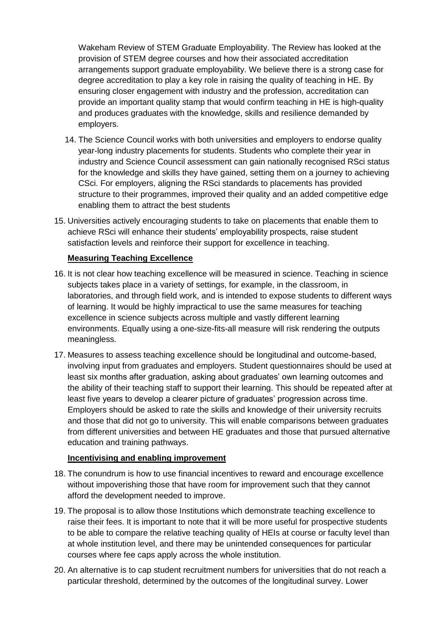Wakeham Review of STEM Graduate Employability. The Review has looked at the provision of STEM degree courses and how their associated accreditation arrangements support graduate employability. We believe there is a strong case for degree accreditation to play a key role in raising the quality of teaching in HE. By ensuring closer engagement with industry and the profession, accreditation can provide an important quality stamp that would confirm teaching in HE is high-quality and produces graduates with the knowledge, skills and resilience demanded by employers.

- 14. The Science Council works with both universities and employers to endorse quality year-long industry placements for students. Students who complete their year in industry and Science Council assessment can gain nationally recognised RSci status for the knowledge and skills they have gained, setting them on a journey to achieving CSci. For employers, aligning the RSci standards to placements has provided structure to their programmes, improved their quality and an added competitive edge enabling them to attract the best students
- 15. Universities actively encouraging students to take on placements that enable them to achieve RSci will enhance their students' employability prospects, raise student satisfaction levels and reinforce their support for excellence in teaching.

# **Measuring Teaching Excellence**

- 16. It is not clear how teaching excellence will be measured in science. Teaching in science subjects takes place in a variety of settings, for example, in the classroom, in laboratories, and through field work, and is intended to expose students to different ways of learning. It would be highly impractical to use the same measures for teaching excellence in science subjects across multiple and vastly different learning environments. Equally using a one-size-fits-all measure will risk rendering the outputs meaningless.
- 17. Measures to assess teaching excellence should be longitudinal and outcome-based, involving input from graduates and employers. Student questionnaires should be used at least six months after graduation, asking about graduates' own learning outcomes and the ability of their teaching staff to support their learning. This should be repeated after at least five years to develop a clearer picture of graduates' progression across time. Employers should be asked to rate the skills and knowledge of their university recruits and those that did not go to university. This will enable comparisons between graduates from different universities and between HE graduates and those that pursued alternative education and training pathways.

### **Incentivising and enabling improvement**

- 18. The conundrum is how to use financial incentives to reward and encourage excellence without impoverishing those that have room for improvement such that they cannot afford the development needed to improve.
- 19. The proposal is to allow those Institutions which demonstrate teaching excellence to raise their fees. It is important to note that it will be more useful for prospective students to be able to compare the relative teaching quality of HEIs at course or faculty level than at whole institution level, and there may be unintended consequences for particular courses where fee caps apply across the whole institution.
- 20. An alternative is to cap student recruitment numbers for universities that do not reach a particular threshold, determined by the outcomes of the longitudinal survey. Lower